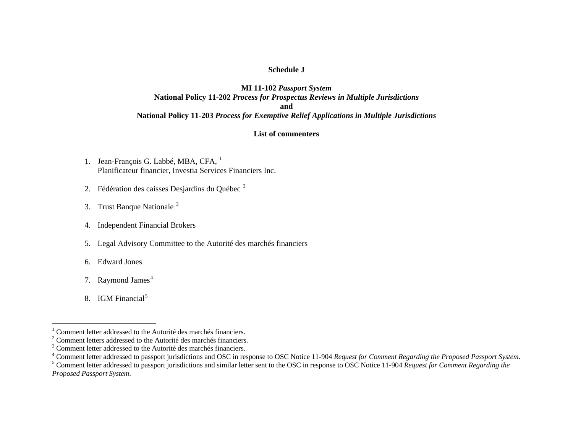### **Schedule J**

## **MI 11-102** *Passport System* **National Policy 11-202** *Process for Prospectus Reviews in Multiple Jurisdictions* **and National Policy 11-203** *Process for Exemptive Relief Applications in Multiple Jurisdictions*

### **List of commenters**

- [1](#page-0-0). Jean-François G. Labbé, MBA, CFA, <sup>1</sup> Planificateur financier, Investia Services Financiers Inc.
- [2](#page-0-1). Fédération des caisses Desjardins du Québec<sup>2</sup>
- [3](#page-0-2). Trust Banque Nationale<sup>3</sup>
- 4. Independent Financial Brokers
- 5. Legal Advisory Committee to the Autorité des marchés financiers
- 6. Edward Jones
- 7. Raymond James<sup>[4](#page-0-3)</sup>
- 8. IGM Financial<sup>[5](#page-0-4)</sup>

<span id="page-0-1"></span><span id="page-0-0"></span><sup>&</sup>lt;sup>1</sup> Comment letter addressed to the Autorité des marchés financiers.

 $2^2$  Comment letters addressed to the Autorité des marchés financiers.

<span id="page-0-2"></span> $3$  Comment letter addressed to the Autorité des marchés financiers.

<span id="page-0-3"></span><sup>4</sup> Comment letter addressed to passport jurisdictions and OSC in response to OSC Notice 11-904 *Request for Comment Regarding the Proposed Passport System*.

<span id="page-0-4"></span><sup>5</sup> Comment letter addressed to passport jurisdictions and similar letter sent to the OSC in response to OSC Notice 11-904 *Request for Comment Regarding the Proposed Passport System*.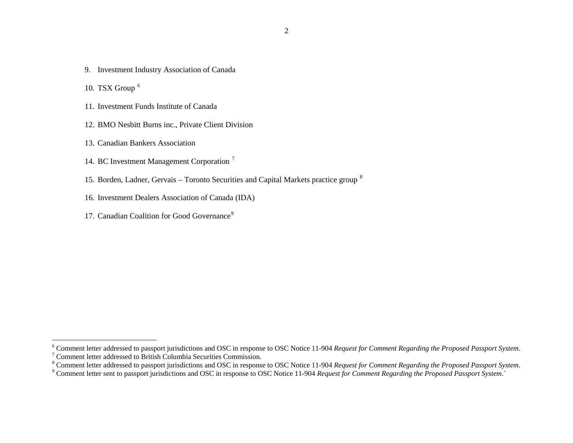- 9. Investment Industry Association of Canada
- 10. TSX Group  $^6$  $^6$
- 11. Investment Funds Institute of Canada
- 12. BMO Nesbitt Burns inc., Private Client Division
- 13. Canadian Bankers Association
- 14. BC Investment Management Corporation<sup>[7](#page-1-1)</sup>
- 15. Borden, Ladner, Gervais Toronto Securities and Capital Markets practice group  $^8$  $^8$
- 16. Investment Dealers Association of Canada (IDA)
- 17. Canadian Coalition for Good Governance<sup>[9](#page-1-3)</sup>

<span id="page-1-1"></span><span id="page-1-0"></span><sup>6</sup> Comment letter addressed to passport jurisdictions and OSC in response to OSC Notice 11-904 *Request for Comment Regarding the Proposed Passport System*.  $7$  Comment letter addressed to British Columbia Securities Commission.

<span id="page-1-2"></span><sup>8</sup> Comment letter addressed to passport jurisdictions and OSC in response to OSC Notice 11-904 *Request for Comment Regarding the Proposed Passport System*.

<span id="page-1-3"></span><sup>9</sup> Comment letter sent to passport jurisdictions and OSC in response to OSC Notice 11-904 *Request for Comment Regarding the Proposed Passport System*.`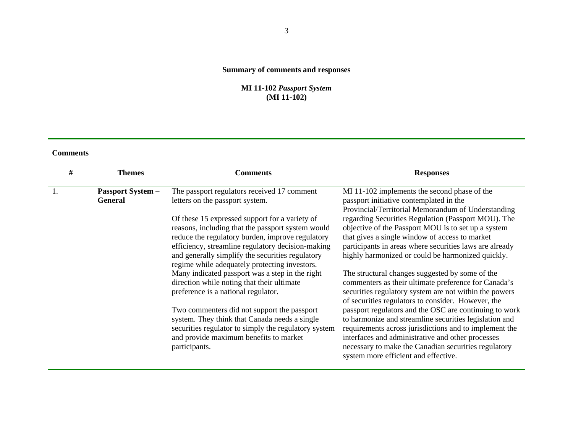# **Summary of comments and responses**

### **MI 11-102** *Passport System* **(MI 11-102)**

| # | Themes                                     | Comments                                                                                                                                                                                                                                                                                                          | <b>Responses</b>                                                                                                                                                                                                                                                                                                                |
|---|--------------------------------------------|-------------------------------------------------------------------------------------------------------------------------------------------------------------------------------------------------------------------------------------------------------------------------------------------------------------------|---------------------------------------------------------------------------------------------------------------------------------------------------------------------------------------------------------------------------------------------------------------------------------------------------------------------------------|
|   | <b>Passport System -</b><br><b>General</b> | The passport regulators received 17 comment<br>letters on the passport system.                                                                                                                                                                                                                                    | MI 11-102 implements the second phase of the<br>passport initiative contemplated in the<br>Provincial/Territorial Memorandum of Understanding                                                                                                                                                                                   |
|   |                                            | Of these 15 expressed support for a variety of<br>reasons, including that the passport system would<br>reduce the regulatory burden, improve regulatory<br>efficiency, streamline regulatory decision-making<br>and generally simplify the securities regulatory<br>regime while adequately protecting investors. | regarding Securities Regulation (Passport MOU). The<br>objective of the Passport MOU is to set up a system<br>that gives a single window of access to market<br>participants in areas where securities laws are already<br>highly harmonized or could be harmonized quickly.                                                    |
|   |                                            | Many indicated passport was a step in the right<br>direction while noting that their ultimate<br>preference is a national regulator.                                                                                                                                                                              | The structural changes suggested by some of the<br>commenters as their ultimate preference for Canada's<br>securities regulatory system are not within the powers<br>of securities regulators to consider. However, the                                                                                                         |
|   |                                            | Two commenters did not support the passport<br>system. They think that Canada needs a single<br>securities regulator to simply the regulatory system<br>and provide maximum benefits to market<br>participants.                                                                                                   | passport regulators and the OSC are continuing to work<br>to harmonize and streamline securities legislation and<br>requirements across jurisdictions and to implement the<br>interfaces and administrative and other processes<br>necessary to make the Canadian securities regulatory<br>system more efficient and effective. |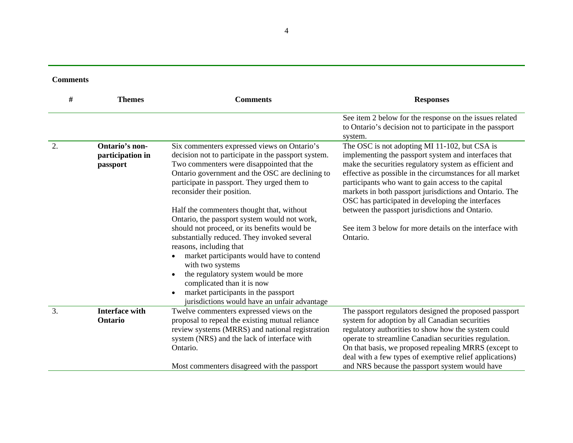| <b>Comments</b> |
|-----------------|
|-----------------|

| #  | <b>Themes</b>                                  | <b>Comments</b>                                                                                                                                                                                                                                                                                                                                                                                                                                                                         | <b>Responses</b>                                                                                                                                                                                                                                                                                                                                                                                    |
|----|------------------------------------------------|-----------------------------------------------------------------------------------------------------------------------------------------------------------------------------------------------------------------------------------------------------------------------------------------------------------------------------------------------------------------------------------------------------------------------------------------------------------------------------------------|-----------------------------------------------------------------------------------------------------------------------------------------------------------------------------------------------------------------------------------------------------------------------------------------------------------------------------------------------------------------------------------------------------|
|    |                                                |                                                                                                                                                                                                                                                                                                                                                                                                                                                                                         | See item 2 below for the response on the issues related<br>to Ontario's decision not to participate in the passport<br>system.                                                                                                                                                                                                                                                                      |
| 2. | Ontario's non-<br>participation in<br>passport | Six commenters expressed views on Ontario's<br>decision not to participate in the passport system.<br>Two commenters were disappointed that the<br>Ontario government and the OSC are declining to<br>participate in passport. They urged them to<br>reconsider their position.                                                                                                                                                                                                         | The OSC is not adopting MI 11-102, but CSA is<br>implementing the passport system and interfaces that<br>make the securities regulatory system as efficient and<br>effective as possible in the circumstances for all market<br>participants who want to gain access to the capital<br>markets in both passport jurisdictions and Ontario. The<br>OSC has participated in developing the interfaces |
|    |                                                | Half the commenters thought that, without<br>Ontario, the passport system would not work,<br>should not proceed, or its benefits would be<br>substantially reduced. They invoked several<br>reasons, including that<br>market participants would have to contend<br>$\bullet$<br>with two systems<br>the regulatory system would be more<br>$\bullet$<br>complicated than it is now<br>market participants in the passport<br>$\bullet$<br>jurisdictions would have an unfair advantage | between the passport jurisdictions and Ontario.<br>See item 3 below for more details on the interface with<br>Ontario.                                                                                                                                                                                                                                                                              |
| 3. | <b>Interface with</b><br>Ontario               | Twelve commenters expressed views on the<br>proposal to repeal the existing mutual reliance<br>review systems (MRRS) and national registration<br>system (NRS) and the lack of interface with<br>Ontario.<br>Most commenters disagreed with the passport                                                                                                                                                                                                                                | The passport regulators designed the proposed passport<br>system for adoption by all Canadian securities<br>regulatory authorities to show how the system could<br>operate to streamline Canadian securities regulation.<br>On that basis, we proposed repealing MRRS (except to<br>deal with a few types of exemptive relief applications)<br>and NRS because the passport system would have       |

4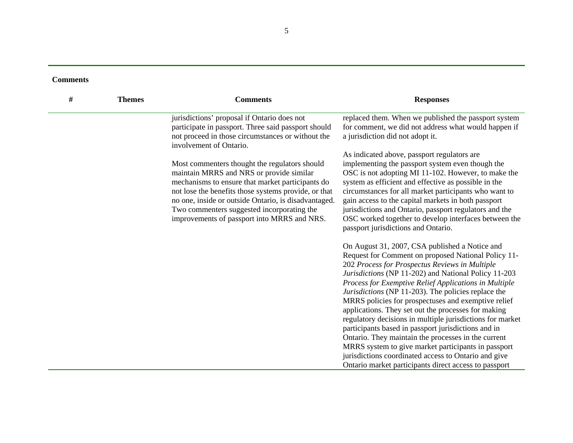| # | <b>Themes</b> | <b>Comments</b>                                                                                                                                                                                                                                                                                                                                            | <b>Responses</b>                                                                                                                                                                                                                                                                                                                                                                                                                                                                                                                                                                                                                                                                                                                                                                                 |
|---|---------------|------------------------------------------------------------------------------------------------------------------------------------------------------------------------------------------------------------------------------------------------------------------------------------------------------------------------------------------------------------|--------------------------------------------------------------------------------------------------------------------------------------------------------------------------------------------------------------------------------------------------------------------------------------------------------------------------------------------------------------------------------------------------------------------------------------------------------------------------------------------------------------------------------------------------------------------------------------------------------------------------------------------------------------------------------------------------------------------------------------------------------------------------------------------------|
|   |               | jurisdictions' proposal if Ontario does not<br>participate in passport. Three said passport should<br>not proceed in those circumstances or without the<br>involvement of Ontario.                                                                                                                                                                         | replaced them. When we published the passport system<br>for comment, we did not address what would happen if<br>a jurisdiction did not adopt it.                                                                                                                                                                                                                                                                                                                                                                                                                                                                                                                                                                                                                                                 |
|   |               | Most commenters thought the regulators should<br>maintain MRRS and NRS or provide similar<br>mechanisms to ensure that market participants do<br>not lose the benefits those systems provide, or that<br>no one, inside or outside Ontario, is disadvantaged.<br>Two commenters suggested incorporating the<br>improvements of passport into MRRS and NRS. | As indicated above, passport regulators are<br>implementing the passport system even though the<br>OSC is not adopting MI 11-102. However, to make the<br>system as efficient and effective as possible in the<br>circumstances for all market participants who want to<br>gain access to the capital markets in both passport<br>jurisdictions and Ontario, passport regulators and the<br>OSC worked together to develop interfaces between the<br>passport jurisdictions and Ontario.                                                                                                                                                                                                                                                                                                         |
|   |               |                                                                                                                                                                                                                                                                                                                                                            | On August 31, 2007, CSA published a Notice and<br>Request for Comment on proposed National Policy 11-<br>202 Process for Prospectus Reviews in Multiple<br>Jurisdictions (NP 11-202) and National Policy 11-203<br>Process for Exemptive Relief Applications in Multiple<br>Jurisdictions (NP 11-203). The policies replace the<br>MRRS policies for prospectuses and exemptive relief<br>applications. They set out the processes for making<br>regulatory decisions in multiple jurisdictions for market<br>participants based in passport jurisdictions and in<br>Ontario. They maintain the processes in the current<br>MRRS system to give market participants in passport<br>jurisdictions coordinated access to Ontario and give<br>Ontario market participants direct access to passport |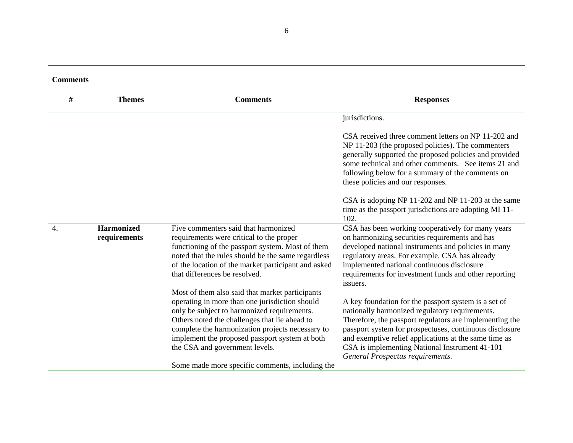| <b>Comments</b> |
|-----------------|
|-----------------|

| #                | <b>Themes</b>                     | <b>Comments</b>                                                                                                                                                                                                                                                                                                                           | <b>Responses</b>                                                                                                                                                                                                                                                                                                                                                            |
|------------------|-----------------------------------|-------------------------------------------------------------------------------------------------------------------------------------------------------------------------------------------------------------------------------------------------------------------------------------------------------------------------------------------|-----------------------------------------------------------------------------------------------------------------------------------------------------------------------------------------------------------------------------------------------------------------------------------------------------------------------------------------------------------------------------|
|                  |                                   |                                                                                                                                                                                                                                                                                                                                           | jurisdictions.                                                                                                                                                                                                                                                                                                                                                              |
|                  |                                   |                                                                                                                                                                                                                                                                                                                                           | CSA received three comment letters on NP 11-202 and<br>NP 11-203 (the proposed policies). The commenters<br>generally supported the proposed policies and provided<br>some technical and other comments. See items 21 and<br>following below for a summary of the comments on<br>these policies and our responses.                                                          |
|                  |                                   |                                                                                                                                                                                                                                                                                                                                           | CSA is adopting NP 11-202 and NP 11-203 at the same<br>time as the passport jurisdictions are adopting MI 11-<br>102.                                                                                                                                                                                                                                                       |
| $\overline{4}$ . | <b>Harmonized</b><br>requirements | Five commenters said that harmonized<br>requirements were critical to the proper<br>functioning of the passport system. Most of them<br>noted that the rules should be the same regardless<br>of the location of the market participant and asked<br>that differences be resolved.                                                        | CSA has been working cooperatively for many years<br>on harmonizing securities requirements and has<br>developed national instruments and policies in many<br>regulatory areas. For example, CSA has already<br>implemented national continuous disclosure<br>requirements for investment funds and other reporting<br>issuers.                                             |
|                  |                                   | Most of them also said that market participants<br>operating in more than one jurisdiction should<br>only be subject to harmonized requirements.<br>Others noted the challenges that lie ahead to<br>complete the harmonization projects necessary to<br>implement the proposed passport system at both<br>the CSA and government levels. | A key foundation for the passport system is a set of<br>nationally harmonized regulatory requirements.<br>Therefore, the passport regulators are implementing the<br>passport system for prospectuses, continuous disclosure<br>and exemptive relief applications at the same time as<br>CSA is implementing National Instrument 41-101<br>General Prospectus requirements. |
|                  |                                   | Some made more specific comments, including the                                                                                                                                                                                                                                                                                           |                                                                                                                                                                                                                                                                                                                                                                             |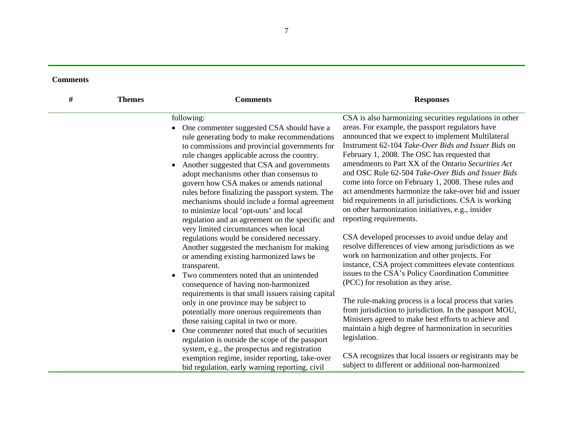| <b>Comments</b> |
|-----------------|
|-----------------|

| # | <b>Themes</b> | <b>Comments</b>                                                                                                                                                                                                                                                                                                                                                                                                                                                                                                                               | <b>Responses</b>                                                                                                                                                                                                                                                                                                                                                                                                                                                                                                                                                                                                                                |
|---|---------------|-----------------------------------------------------------------------------------------------------------------------------------------------------------------------------------------------------------------------------------------------------------------------------------------------------------------------------------------------------------------------------------------------------------------------------------------------------------------------------------------------------------------------------------------------|-------------------------------------------------------------------------------------------------------------------------------------------------------------------------------------------------------------------------------------------------------------------------------------------------------------------------------------------------------------------------------------------------------------------------------------------------------------------------------------------------------------------------------------------------------------------------------------------------------------------------------------------------|
|   |               | following:<br>One commenter suggested CSA should have a<br>rule generating body to make recommendations<br>to commissions and provincial governments for<br>rule changes applicable across the country.<br>Another suggested that CSA and governments<br>adopt mechanisms other than consensus to<br>govern how CSA makes or amends national<br>rules before finalizing the passport system. The<br>mechanisms should include a formal agreement<br>to minimize local 'opt-outs' and local<br>regulation and an agreement on the specific and | CSA is also harmonizing securities regulations in other<br>areas. For example, the passport regulators have<br>announced that we expect to implement Multilateral<br>Instrument 62-104 Take-Over Bids and Issuer Bids on<br>February 1, 2008. The OSC has requested that<br>amendments to Part XX of the Ontario Securities Act<br>and OSC Rule 62-504 Take-Over Bids and Issuer Bids<br>come into force on February 1, 2008. These rules and<br>act amendments harmonize the take-over bid and issuer<br>bid requirements in all jurisdictions. CSA is working<br>on other harmonization initiatives, e.g., insider<br>reporting requirements. |
|   |               | very limited circumstances when local<br>regulations would be considered necessary.<br>Another suggested the mechanism for making<br>or amending existing harmonized laws be<br>transparent.<br>Two commenters noted that an unintended<br>consequence of having non-harmonized                                                                                                                                                                                                                                                               | CSA developed processes to avoid undue delay and<br>resolve differences of view among jurisdictions as we<br>work on harmonization and other projects. For<br>instance, CSA project committees elevate contentious<br>issues to the CSA's Policy Coordination Committee<br>(PCC) for resolution as they arise.                                                                                                                                                                                                                                                                                                                                  |
|   |               | requirements is that small issuers raising capital<br>only in one province may be subject to<br>potentially more onerous requirements than<br>those raising capital in two or more.<br>One commenter noted that much of securities<br>regulation is outside the scope of the passport                                                                                                                                                                                                                                                         | The rule-making process is a local process that varies<br>from jurisdiction to jurisdiction. In the passport MOU,<br>Ministers agreed to make best efforts to achieve and<br>maintain a high degree of harmonization in securities<br>legislation.                                                                                                                                                                                                                                                                                                                                                                                              |
|   |               | system, e.g., the prospectus and registration<br>exemption regime, insider reporting, take-over<br>bid regulation, early warning reporting, civil                                                                                                                                                                                                                                                                                                                                                                                             | CSA recognizes that local issuers or registrants may be<br>subject to different or additional non-harmonized                                                                                                                                                                                                                                                                                                                                                                                                                                                                                                                                    |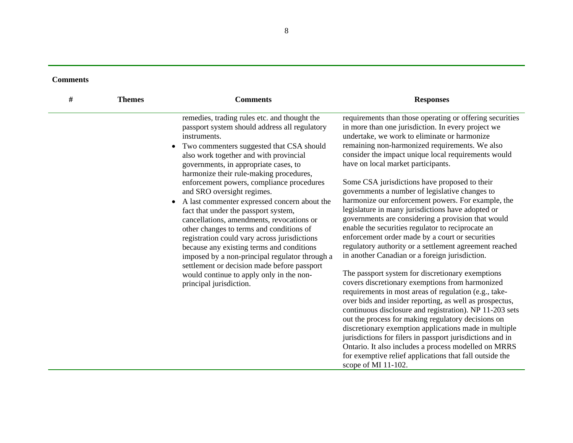| # | <b>Themes</b> | <b>Comments</b>                                                                                                                                                                                                                                                                                                                                                                                                                                                                                                                                                                                                                                                                                                                                                             | <b>Responses</b>                                                                                                                                                                                                                                                                                                                                                                                                                                                                                                                                                                                                                                                                                                                                                                                      |
|---|---------------|-----------------------------------------------------------------------------------------------------------------------------------------------------------------------------------------------------------------------------------------------------------------------------------------------------------------------------------------------------------------------------------------------------------------------------------------------------------------------------------------------------------------------------------------------------------------------------------------------------------------------------------------------------------------------------------------------------------------------------------------------------------------------------|-------------------------------------------------------------------------------------------------------------------------------------------------------------------------------------------------------------------------------------------------------------------------------------------------------------------------------------------------------------------------------------------------------------------------------------------------------------------------------------------------------------------------------------------------------------------------------------------------------------------------------------------------------------------------------------------------------------------------------------------------------------------------------------------------------|
|   |               | remedies, trading rules etc. and thought the<br>passport system should address all regulatory<br>instruments.<br>Two commenters suggested that CSA should<br>$\bullet$<br>also work together and with provincial<br>governments, in appropriate cases, to<br>harmonize their rule-making procedures,<br>enforcement powers, compliance procedures<br>and SRO oversight regimes.<br>A last commenter expressed concern about the<br>$\bullet$<br>fact that under the passport system,<br>cancellations, amendments, revocations or<br>other changes to terms and conditions of<br>registration could vary across jurisdictions<br>because any existing terms and conditions<br>imposed by a non-principal regulator through a<br>settlement or decision made before passport | requirements than those operating or offering securities<br>in more than one jurisdiction. In every project we<br>undertake, we work to eliminate or harmonize<br>remaining non-harmonized requirements. We also<br>consider the impact unique local requirements would<br>have on local market participants.<br>Some CSA jurisdictions have proposed to their<br>governments a number of legislative changes to<br>harmonize our enforcement powers. For example, the<br>legislature in many jurisdictions have adopted or<br>governments are considering a provision that would<br>enable the securities regulator to reciprocate an<br>enforcement order made by a court or securities<br>regulatory authority or a settlement agreement reached<br>in another Canadian or a foreign jurisdiction. |
|   |               | would continue to apply only in the non-<br>principal jurisdiction.                                                                                                                                                                                                                                                                                                                                                                                                                                                                                                                                                                                                                                                                                                         | The passport system for discretionary exemptions<br>covers discretionary exemptions from harmonized<br>requirements in most areas of regulation (e.g., take-<br>over bids and insider reporting, as well as prospectus,<br>continuous disclosure and registration). NP 11-203 sets<br>out the process for making regulatory decisions on<br>discretionary exemption applications made in multiple<br>jurisdictions for filers in passport jurisdictions and in<br>Ontario. It also includes a process modelled on MRRS<br>for exemptive relief applications that fall outside the<br>scope of MI 11-102.                                                                                                                                                                                              |

8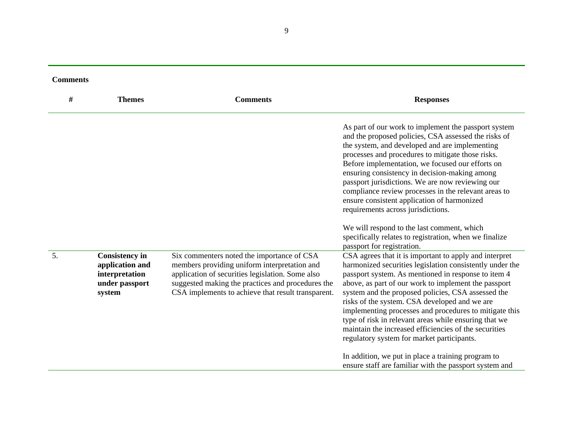| <b>Comments</b> |                                                                                        |                                                                                                                                                                                                                                                           |                                                                                                                                                                                                                                                                                                                                                                                                                                                                                                                                                                                                                                                                                    |
|-----------------|----------------------------------------------------------------------------------------|-----------------------------------------------------------------------------------------------------------------------------------------------------------------------------------------------------------------------------------------------------------|------------------------------------------------------------------------------------------------------------------------------------------------------------------------------------------------------------------------------------------------------------------------------------------------------------------------------------------------------------------------------------------------------------------------------------------------------------------------------------------------------------------------------------------------------------------------------------------------------------------------------------------------------------------------------------|
| $\#$            | <b>Themes</b>                                                                          | <b>Comments</b>                                                                                                                                                                                                                                           | <b>Responses</b>                                                                                                                                                                                                                                                                                                                                                                                                                                                                                                                                                                                                                                                                   |
|                 |                                                                                        |                                                                                                                                                                                                                                                           | As part of our work to implement the passport system<br>and the proposed policies, CSA assessed the risks of<br>the system, and developed and are implementing<br>processes and procedures to mitigate those risks.<br>Before implementation, we focused our efforts on<br>ensuring consistency in decision-making among<br>passport jurisdictions. We are now reviewing our<br>compliance review processes in the relevant areas to<br>ensure consistent application of harmonized<br>requirements across jurisdictions.<br>We will respond to the last comment, which<br>specifically relates to registration, when we finalize<br>passport for registration.                    |
| 5.              | <b>Consistency in</b><br>application and<br>interpretation<br>under passport<br>system | Six commenters noted the importance of CSA<br>members providing uniform interpretation and<br>application of securities legislation. Some also<br>suggested making the practices and procedures the<br>CSA implements to achieve that result transparent. | CSA agrees that it is important to apply and interpret<br>harmonized securities legislation consistently under the<br>passport system. As mentioned in response to item 4<br>above, as part of our work to implement the passport<br>system and the proposed policies, CSA assessed the<br>risks of the system. CSA developed and we are<br>implementing processes and procedures to mitigate this<br>type of risk in relevant areas while ensuring that we<br>maintain the increased efficiencies of the securities<br>regulatory system for market participants.<br>In addition, we put in place a training program to<br>ensure staff are familiar with the passport system and |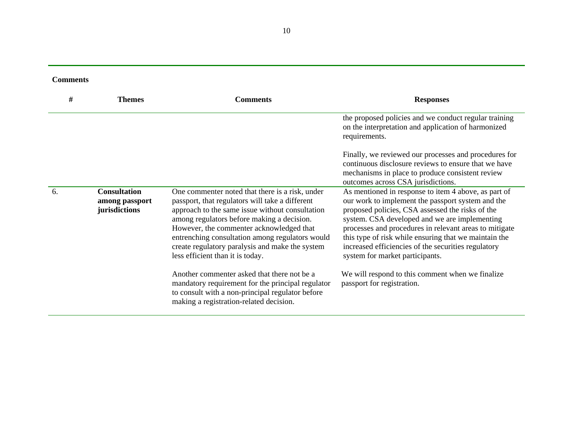| <b>Comments</b> |
|-----------------|
|-----------------|

| #  | <b>Themes</b>                                          | <b>Comments</b>                                                                                                                                                                                                                                                                                                                                                                           | <b>Responses</b>                                                                                                                                                                                                                                                                                                                                                                                                            |
|----|--------------------------------------------------------|-------------------------------------------------------------------------------------------------------------------------------------------------------------------------------------------------------------------------------------------------------------------------------------------------------------------------------------------------------------------------------------------|-----------------------------------------------------------------------------------------------------------------------------------------------------------------------------------------------------------------------------------------------------------------------------------------------------------------------------------------------------------------------------------------------------------------------------|
|    |                                                        |                                                                                                                                                                                                                                                                                                                                                                                           | the proposed policies and we conduct regular training<br>on the interpretation and application of harmonized<br>requirements.                                                                                                                                                                                                                                                                                               |
|    |                                                        |                                                                                                                                                                                                                                                                                                                                                                                           | Finally, we reviewed our processes and procedures for<br>continuous disclosure reviews to ensure that we have<br>mechanisms in place to produce consistent review<br>outcomes across CSA jurisdictions.                                                                                                                                                                                                                     |
| 6. | <b>Consultation</b><br>among passport<br>jurisdictions | One commenter noted that there is a risk, under<br>passport, that regulators will take a different<br>approach to the same issue without consultation<br>among regulators before making a decision.<br>However, the commenter acknowledged that<br>entrenching consultation among regulators would<br>create regulatory paralysis and make the system<br>less efficient than it is today. | As mentioned in response to item 4 above, as part of<br>our work to implement the passport system and the<br>proposed policies, CSA assessed the risks of the<br>system. CSA developed and we are implementing<br>processes and procedures in relevant areas to mitigate<br>this type of risk while ensuring that we maintain the<br>increased efficiencies of the securities regulatory<br>system for market participants. |
|    |                                                        | Another commenter asked that there not be a<br>mandatory requirement for the principal regulator<br>to consult with a non-principal regulator before<br>making a registration-related decision.                                                                                                                                                                                           | We will respond to this comment when we finalize<br>passport for registration.                                                                                                                                                                                                                                                                                                                                              |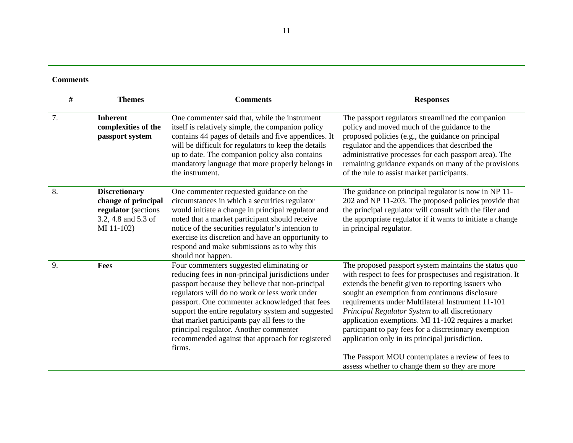| #  | <b>Themes</b>                                                                                           | <b>Comments</b>                                                                                                                                                                                                                                                                                                                                                                                                                                                     | <b>Responses</b>                                                                                                                                                                                                                                                                                                                                                                                                                                                                                                                                                                                              |
|----|---------------------------------------------------------------------------------------------------------|---------------------------------------------------------------------------------------------------------------------------------------------------------------------------------------------------------------------------------------------------------------------------------------------------------------------------------------------------------------------------------------------------------------------------------------------------------------------|---------------------------------------------------------------------------------------------------------------------------------------------------------------------------------------------------------------------------------------------------------------------------------------------------------------------------------------------------------------------------------------------------------------------------------------------------------------------------------------------------------------------------------------------------------------------------------------------------------------|
| 7. | <b>Inherent</b><br>complexities of the<br>passport system                                               | One commenter said that, while the instrument<br>itself is relatively simple, the companion policy<br>contains 44 pages of details and five appendices. It<br>will be difficult for regulators to keep the details<br>up to date. The companion policy also contains<br>mandatory language that more properly belongs in<br>the instrument.                                                                                                                         | The passport regulators streamlined the companion<br>policy and moved much of the guidance to the<br>proposed policies (e.g., the guidance on principal<br>regulator and the appendices that described the<br>administrative processes for each passport area). The<br>remaining guidance expands on many of the provisions<br>of the rule to assist market participants.                                                                                                                                                                                                                                     |
| 8. | <b>Discretionary</b><br>change of principal<br>regulator (sections<br>3.2, 4.8 and 5.3 of<br>MI 11-102) | One commenter requested guidance on the<br>circumstances in which a securities regulator<br>would initiate a change in principal regulator and<br>noted that a market participant should receive<br>notice of the securities regulator's intention to<br>exercise its discretion and have an opportunity to<br>respond and make submissions as to why this<br>should not happen.                                                                                    | The guidance on principal regulator is now in NP 11-<br>202 and NP 11-203. The proposed policies provide that<br>the principal regulator will consult with the filer and<br>the appropriate regulator if it wants to initiate a change<br>in principal regulator.                                                                                                                                                                                                                                                                                                                                             |
| 9. | Fees                                                                                                    | Four commenters suggested eliminating or<br>reducing fees in non-principal jurisdictions under<br>passport because they believe that non-principal<br>regulators will do no work or less work under<br>passport. One commenter acknowledged that fees<br>support the entire regulatory system and suggested<br>that market participants pay all fees to the<br>principal regulator. Another commenter<br>recommended against that approach for registered<br>firms. | The proposed passport system maintains the status quo<br>with respect to fees for prospectuses and registration. It<br>extends the benefit given to reporting issuers who<br>sought an exemption from continuous disclosure<br>requirements under Multilateral Instrument 11-101<br>Principal Regulator System to all discretionary<br>application exemptions. MI 11-102 requires a market<br>participant to pay fees for a discretionary exemption<br>application only in its principal jurisdiction.<br>The Passport MOU contemplates a review of fees to<br>assess whether to change them so they are more |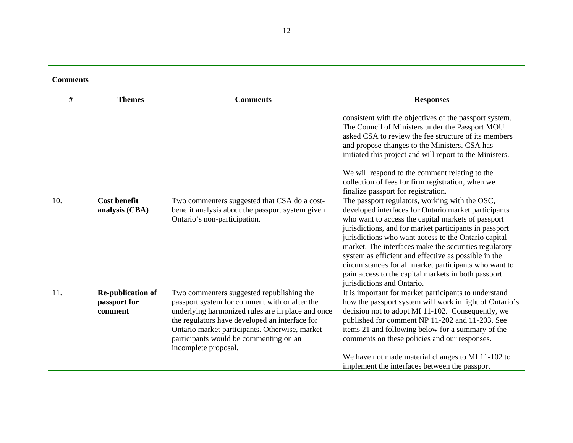| <b>Comments</b> |
|-----------------|
|-----------------|

| #   | <b>Themes</b>                                       | <b>Comments</b>                                                                                                                                                                                                                                                                                                       | <b>Responses</b>                                                                                                                                                                                                                                                                                                                                                                                                                                                                                                                              |
|-----|-----------------------------------------------------|-----------------------------------------------------------------------------------------------------------------------------------------------------------------------------------------------------------------------------------------------------------------------------------------------------------------------|-----------------------------------------------------------------------------------------------------------------------------------------------------------------------------------------------------------------------------------------------------------------------------------------------------------------------------------------------------------------------------------------------------------------------------------------------------------------------------------------------------------------------------------------------|
|     |                                                     |                                                                                                                                                                                                                                                                                                                       | consistent with the objectives of the passport system.<br>The Council of Ministers under the Passport MOU<br>asked CSA to review the fee structure of its members<br>and propose changes to the Ministers. CSA has<br>initiated this project and will report to the Ministers.                                                                                                                                                                                                                                                                |
|     |                                                     |                                                                                                                                                                                                                                                                                                                       | We will respond to the comment relating to the<br>collection of fees for firm registration, when we<br>finalize passport for registration.                                                                                                                                                                                                                                                                                                                                                                                                    |
| 10. | <b>Cost benefit</b><br>analysis (CBA)               | Two commenters suggested that CSA do a cost-<br>benefit analysis about the passport system given<br>Ontario's non-participation.                                                                                                                                                                                      | The passport regulators, working with the OSC,<br>developed interfaces for Ontario market participants<br>who want to access the capital markets of passport<br>jurisdictions, and for market participants in passport<br>jurisdictions who want access to the Ontario capital<br>market. The interfaces make the securities regulatory<br>system as efficient and effective as possible in the<br>circumstances for all market participants who want to<br>gain access to the capital markets in both passport<br>jurisdictions and Ontario. |
| 11. | <b>Re-publication of</b><br>passport for<br>comment | Two commenters suggested republishing the<br>passport system for comment with or after the<br>underlying harmonized rules are in place and once<br>the regulators have developed an interface for<br>Ontario market participants. Otherwise, market<br>participants would be commenting on an<br>incomplete proposal. | It is important for market participants to understand<br>how the passport system will work in light of Ontario's<br>decision not to adopt MI 11-102. Consequently, we<br>published for comment NP 11-202 and 11-203. See<br>items 21 and following below for a summary of the<br>comments on these policies and our responses.<br>We have not made material changes to MI 11-102 to<br>implement the interfaces between the passport                                                                                                          |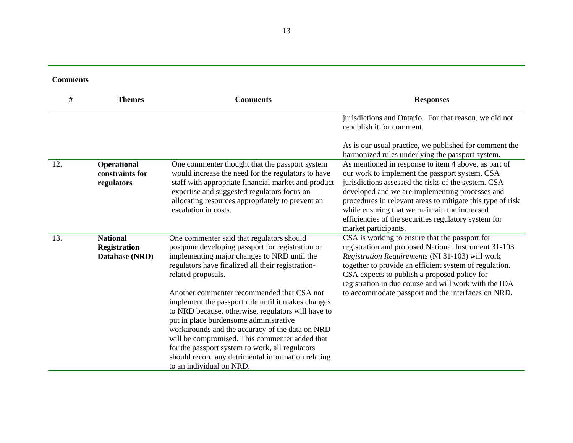|  |  | <b>Comments</b> |  |
|--|--|-----------------|--|
|--|--|-----------------|--|

| $\#$ | <b>Themes</b>                                            | <b>Comments</b>                                                                                                                                                                                                                                                                                                                                                                                                                            | <b>Responses</b>                                                                                                                                                                                                                                                                                                                                                                                                |
|------|----------------------------------------------------------|--------------------------------------------------------------------------------------------------------------------------------------------------------------------------------------------------------------------------------------------------------------------------------------------------------------------------------------------------------------------------------------------------------------------------------------------|-----------------------------------------------------------------------------------------------------------------------------------------------------------------------------------------------------------------------------------------------------------------------------------------------------------------------------------------------------------------------------------------------------------------|
|      |                                                          |                                                                                                                                                                                                                                                                                                                                                                                                                                            | jurisdictions and Ontario. For that reason, we did not<br>republish it for comment.                                                                                                                                                                                                                                                                                                                             |
|      |                                                          |                                                                                                                                                                                                                                                                                                                                                                                                                                            | As is our usual practice, we published for comment the<br>harmonized rules underlying the passport system.                                                                                                                                                                                                                                                                                                      |
| 12.  | <b>Operational</b><br>constraints for<br>regulators      | One commenter thought that the passport system<br>would increase the need for the regulators to have<br>staff with appropriate financial market and product<br>expertise and suggested regulators focus on<br>allocating resources appropriately to prevent an<br>escalation in costs.                                                                                                                                                     | As mentioned in response to item 4 above, as part of<br>our work to implement the passport system, CSA<br>jurisdictions assessed the risks of the system. CSA<br>developed and we are implementing processes and<br>procedures in relevant areas to mitigate this type of risk<br>while ensuring that we maintain the increased<br>efficiencies of the securities regulatory system for<br>market participants. |
| 13.  | <b>National</b><br><b>Registration</b><br>Database (NRD) | One commenter said that regulators should<br>postpone developing passport for registration or<br>implementing major changes to NRD until the<br>regulators have finalized all their registration-<br>related proposals.                                                                                                                                                                                                                    | CSA is working to ensure that the passport for<br>registration and proposed National Instrument 31-103<br>Registration Requirements (NI 31-103) will work<br>together to provide an efficient system of regulation.<br>CSA expects to publish a proposed policy for<br>registration in due course and will work with the IDA                                                                                    |
|      |                                                          | Another commenter recommended that CSA not<br>implement the passport rule until it makes changes<br>to NRD because, otherwise, regulators will have to<br>put in place burdensome administrative<br>workarounds and the accuracy of the data on NRD<br>will be compromised. This commenter added that<br>for the passport system to work, all regulators<br>should record any detrimental information relating<br>to an individual on NRD. | to accommodate passport and the interfaces on NRD.                                                                                                                                                                                                                                                                                                                                                              |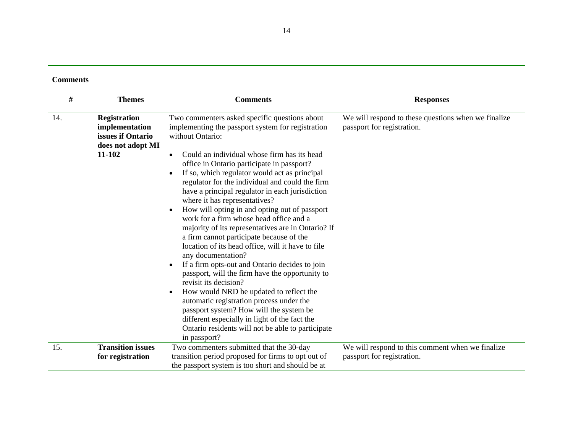| #   | <b>Themes</b>                                                                             | <b>Comments</b>                                                                                                                                                                                                                                                                                                                                                                                                                                                                                                                                                                                                                                                                                                                                                                                                                                                                                                                                                                                                                                                                         | <b>Responses</b>                                                                  |
|-----|-------------------------------------------------------------------------------------------|-----------------------------------------------------------------------------------------------------------------------------------------------------------------------------------------------------------------------------------------------------------------------------------------------------------------------------------------------------------------------------------------------------------------------------------------------------------------------------------------------------------------------------------------------------------------------------------------------------------------------------------------------------------------------------------------------------------------------------------------------------------------------------------------------------------------------------------------------------------------------------------------------------------------------------------------------------------------------------------------------------------------------------------------------------------------------------------------|-----------------------------------------------------------------------------------|
| 14. | <b>Registration</b><br>implementation<br>issues if Ontario<br>does not adopt MI<br>11-102 | Two commenters asked specific questions about<br>implementing the passport system for registration<br>without Ontario:<br>Could an individual whose firm has its head<br>$\bullet$<br>office in Ontario participate in passport?<br>If so, which regulator would act as principal<br>regulator for the individual and could the firm<br>have a principal regulator in each jurisdiction<br>where it has representatives?<br>How will opting in and opting out of passport<br>work for a firm whose head office and a<br>majority of its representatives are in Ontario? If<br>a firm cannot participate because of the<br>location of its head office, will it have to file<br>any documentation?<br>If a firm opts-out and Ontario decides to join<br>passport, will the firm have the opportunity to<br>revisit its decision?<br>How would NRD be updated to reflect the<br>automatic registration process under the<br>passport system? How will the system be<br>different especially in light of the fact the<br>Ontario residents will not be able to participate<br>in passport? | We will respond to these questions when we finalize<br>passport for registration. |
| 15. | <b>Transition issues</b>                                                                  | Two commenters submitted that the 30-day                                                                                                                                                                                                                                                                                                                                                                                                                                                                                                                                                                                                                                                                                                                                                                                                                                                                                                                                                                                                                                                | We will respond to this comment when we finalize                                  |
|     | for registration                                                                          | transition period proposed for firms to opt out of                                                                                                                                                                                                                                                                                                                                                                                                                                                                                                                                                                                                                                                                                                                                                                                                                                                                                                                                                                                                                                      | passport for registration.                                                        |
|     |                                                                                           | the passport system is too short and should be at                                                                                                                                                                                                                                                                                                                                                                                                                                                                                                                                                                                                                                                                                                                                                                                                                                                                                                                                                                                                                                       |                                                                                   |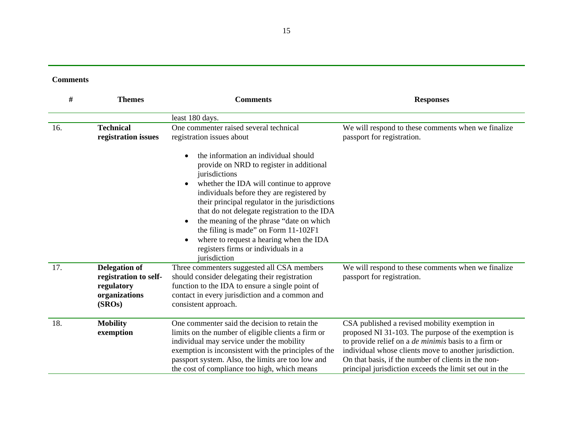| #   | <b>Themes</b>                                                                          | <b>Comments</b>                                                                                                                                                                                                                                                                                                                                                                                                                                                                                                   | <b>Responses</b>                                                                                                                                                                                                                                                                                                                                |
|-----|----------------------------------------------------------------------------------------|-------------------------------------------------------------------------------------------------------------------------------------------------------------------------------------------------------------------------------------------------------------------------------------------------------------------------------------------------------------------------------------------------------------------------------------------------------------------------------------------------------------------|-------------------------------------------------------------------------------------------------------------------------------------------------------------------------------------------------------------------------------------------------------------------------------------------------------------------------------------------------|
|     |                                                                                        | least 180 days.                                                                                                                                                                                                                                                                                                                                                                                                                                                                                                   |                                                                                                                                                                                                                                                                                                                                                 |
| 16. | <b>Technical</b><br>registration issues                                                | One commenter raised several technical<br>registration issues about                                                                                                                                                                                                                                                                                                                                                                                                                                               | We will respond to these comments when we finalize<br>passport for registration.                                                                                                                                                                                                                                                                |
|     |                                                                                        | the information an individual should<br>$\bullet$<br>provide on NRD to register in additional<br>jurisdictions<br>whether the IDA will continue to approve<br>٠<br>individuals before they are registered by<br>their principal regulator in the jurisdictions<br>that do not delegate registration to the IDA<br>the meaning of the phrase "date on which<br>$\bullet$<br>the filing is made" on Form 11-102F1<br>where to request a hearing when the IDA<br>registers firms or individuals in a<br>jurisdiction |                                                                                                                                                                                                                                                                                                                                                 |
| 17. | <b>Delegation of</b><br>registration to self-<br>regulatory<br>organizations<br>(SROs) | Three commenters suggested all CSA members<br>should consider delegating their registration<br>function to the IDA to ensure a single point of<br>contact in every jurisdiction and a common and<br>consistent approach.                                                                                                                                                                                                                                                                                          | We will respond to these comments when we finalize<br>passport for registration.                                                                                                                                                                                                                                                                |
| 18. | <b>Mobility</b><br>exemption                                                           | One commenter said the decision to retain the<br>limits on the number of eligible clients a firm or<br>individual may service under the mobility<br>exemption is inconsistent with the principles of the<br>passport system. Also, the limits are too low and<br>the cost of compliance too high, which means                                                                                                                                                                                                     | CSA published a revised mobility exemption in<br>proposed NI 31-103. The purpose of the exemption is<br>to provide relief on a <i>de minimis</i> basis to a firm or<br>individual whose clients move to another jurisdiction.<br>On that basis, if the number of clients in the non-<br>principal jurisdiction exceeds the limit set out in the |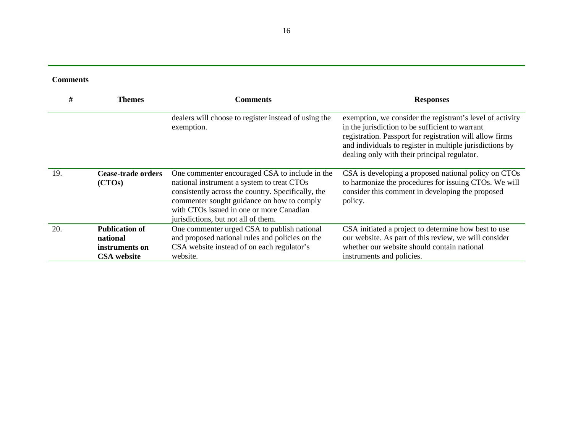| <b>Comments</b> |
|-----------------|
|-----------------|

| #   | <b>Themes</b>                     | <b>Comments</b>                                                                                                                                                                                                                                                                     | <b>Responses</b>                                                                                                                                                                                                                                                                     |
|-----|-----------------------------------|-------------------------------------------------------------------------------------------------------------------------------------------------------------------------------------------------------------------------------------------------------------------------------------|--------------------------------------------------------------------------------------------------------------------------------------------------------------------------------------------------------------------------------------------------------------------------------------|
|     |                                   | dealers will choose to register instead of using the<br>exemption.                                                                                                                                                                                                                  | exemption, we consider the registrant's level of activity<br>in the jurisdiction to be sufficient to warrant<br>registration. Passport for registration will allow firms<br>and individuals to register in multiple jurisdictions by<br>dealing only with their principal regulator. |
| 19. | Cease-trade orders<br>(CTOs)      | One commenter encouraged CSA to include in the<br>national instrument a system to treat CTOs<br>consistently across the country. Specifically, the<br>commenter sought guidance on how to comply<br>with CTOs issued in one or more Canadian<br>jurisdictions, but not all of them. | CSA is developing a proposed national policy on CTOs<br>to harmonize the procedures for issuing CTOs. We will<br>consider this comment in developing the proposed<br>policy.                                                                                                         |
| 20. | <b>Publication of</b><br>national | One commenter urged CSA to publish national<br>and proposed national rules and policies on the                                                                                                                                                                                      | CSA initiated a project to determine how best to use<br>our website. As part of this review, we will consider                                                                                                                                                                        |
|     | instruments on                    | CSA website instead of on each regulator's                                                                                                                                                                                                                                          | whether our website should contain national                                                                                                                                                                                                                                          |
|     | <b>CSA</b> website                | website.                                                                                                                                                                                                                                                                            | instruments and policies.                                                                                                                                                                                                                                                            |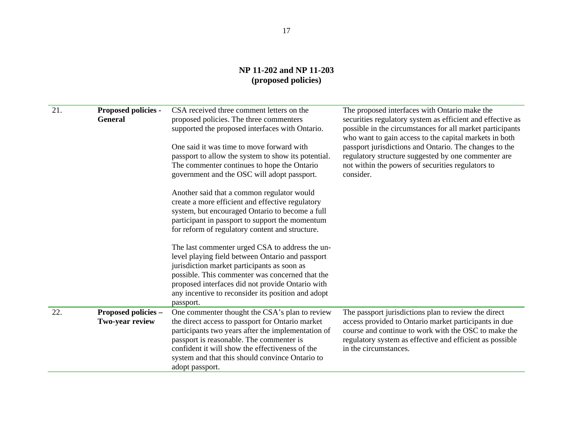## **NP 11-202 and NP 11-203 (proposed policies)**

| 21. | <b>Proposed policies -</b><br><b>General</b> | CSA received three comment letters on the<br>proposed policies. The three commenters<br>supported the proposed interfaces with Ontario.<br>One said it was time to move forward with<br>passport to allow the system to show its potential.<br>The commenter continues to hope the Ontario<br>government and the OSC will adopt passport.<br>Another said that a common regulator would<br>create a more efficient and effective regulatory<br>system, but encouraged Ontario to become a full<br>participant in passport to support the momentum<br>for reform of regulatory content and structure. | The proposed interfaces with Ontario make the<br>securities regulatory system as efficient and effective as<br>possible in the circumstances for all market participants<br>who want to gain access to the capital markets in both<br>passport jurisdictions and Ontario. The changes to the<br>regulatory structure suggested by one commenter are<br>not within the powers of securities regulators to<br>consider. |
|-----|----------------------------------------------|------------------------------------------------------------------------------------------------------------------------------------------------------------------------------------------------------------------------------------------------------------------------------------------------------------------------------------------------------------------------------------------------------------------------------------------------------------------------------------------------------------------------------------------------------------------------------------------------------|-----------------------------------------------------------------------------------------------------------------------------------------------------------------------------------------------------------------------------------------------------------------------------------------------------------------------------------------------------------------------------------------------------------------------|
|     |                                              | The last commenter urged CSA to address the un-<br>level playing field between Ontario and passport<br>jurisdiction market participants as soon as<br>possible. This commenter was concerned that the<br>proposed interfaces did not provide Ontario with<br>any incentive to reconsider its position and adopt<br>passport.                                                                                                                                                                                                                                                                         |                                                                                                                                                                                                                                                                                                                                                                                                                       |
| 22. | Proposed policies -<br>Two-year review       | One commenter thought the CSA's plan to review<br>the direct access to passport for Ontario market<br>participants two years after the implementation of<br>passport is reasonable. The commenter is<br>confident it will show the effectiveness of the<br>system and that this should convince Ontario to<br>adopt passport.                                                                                                                                                                                                                                                                        | The passport jurisdictions plan to review the direct<br>access provided to Ontario market participants in due<br>course and continue to work with the OSC to make the<br>regulatory system as effective and efficient as possible<br>in the circumstances.                                                                                                                                                            |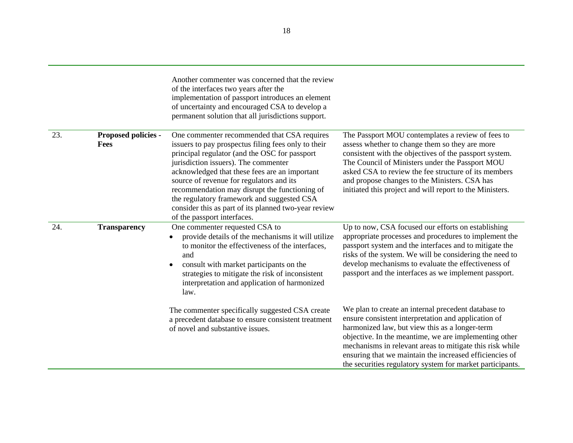|     |                                    | Another commenter was concerned that the review<br>of the interfaces two years after the<br>implementation of passport introduces an element<br>of uncertainty and encouraged CSA to develop a<br>permanent solution that all jurisdictions support.                                                                                                                                                                                                                           |                                                                                                                                                                                                                                                                                                                                                                                                           |
|-----|------------------------------------|--------------------------------------------------------------------------------------------------------------------------------------------------------------------------------------------------------------------------------------------------------------------------------------------------------------------------------------------------------------------------------------------------------------------------------------------------------------------------------|-----------------------------------------------------------------------------------------------------------------------------------------------------------------------------------------------------------------------------------------------------------------------------------------------------------------------------------------------------------------------------------------------------------|
| 23. | Proposed policies -<br><b>Fees</b> | One commenter recommended that CSA requires<br>issuers to pay prospectus filing fees only to their<br>principal regulator (and the OSC for passport<br>jurisdiction issuers). The commenter<br>acknowledged that these fees are an important<br>source of revenue for regulators and its<br>recommendation may disrupt the functioning of<br>the regulatory framework and suggested CSA<br>consider this as part of its planned two-year review<br>of the passport interfaces. | The Passport MOU contemplates a review of fees to<br>assess whether to change them so they are more<br>consistent with the objectives of the passport system.<br>The Council of Ministers under the Passport MOU<br>asked CSA to review the fee structure of its members<br>and propose changes to the Ministers. CSA has<br>initiated this project and will report to the Ministers.                     |
| 24. | <b>Transparency</b>                | One commenter requested CSA to<br>provide details of the mechanisms it will utilize<br>to monitor the effectiveness of the interfaces,<br>and<br>consult with market participants on the<br>strategies to mitigate the risk of inconsistent<br>interpretation and application of harmonized<br>law.                                                                                                                                                                            | Up to now, CSA focused our efforts on establishing<br>appropriate processes and procedures to implement the<br>passport system and the interfaces and to mitigate the<br>risks of the system. We will be considering the need to<br>develop mechanisms to evaluate the effectiveness of<br>passport and the interfaces as we implement passport.                                                          |
|     |                                    | The commenter specifically suggested CSA create<br>a precedent database to ensure consistent treatment<br>of novel and substantive issues.                                                                                                                                                                                                                                                                                                                                     | We plan to create an internal precedent database to<br>ensure consistent interpretation and application of<br>harmonized law, but view this as a longer-term<br>objective. In the meantime, we are implementing other<br>mechanisms in relevant areas to mitigate this risk while<br>ensuring that we maintain the increased efficiencies of<br>the securities regulatory system for market participants. |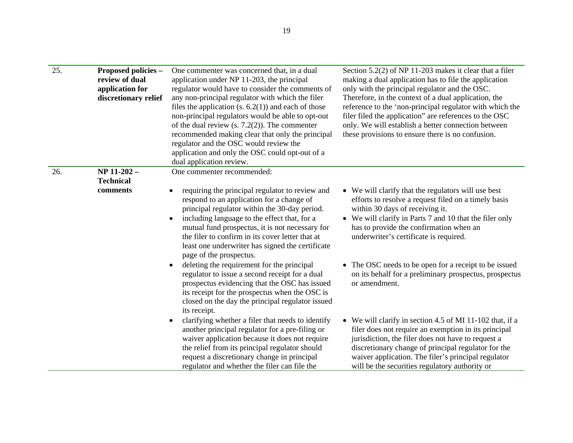| 25. | Proposed policies -<br>review of dual<br>application for<br>discretionary relief | One commenter was concerned that, in a dual<br>application under NP 11-203, the principal<br>regulator would have to consider the comments of<br>any non-principal regulator with which the filer<br>files the application $(s. 6.2(1))$ and each of those<br>non-principal regulators would be able to opt-out<br>of the dual review $(s. 7.2(2))$ . The commenter<br>recommended making clear that only the principal<br>regulator and the OSC would review the<br>application and only the OSC could opt-out of a<br>dual application review. | Section $5.2(2)$ of NP 11-203 makes it clear that a filer<br>making a dual application has to file the application<br>only with the principal regulator and the OSC.<br>Therefore, in the context of a dual application, the<br>reference to the 'non-principal regulator with which the<br>filer filed the application" are references to the OSC<br>only. We will establish a better connection between<br>these provisions to ensure there is no confusion. |
|-----|----------------------------------------------------------------------------------|--------------------------------------------------------------------------------------------------------------------------------------------------------------------------------------------------------------------------------------------------------------------------------------------------------------------------------------------------------------------------------------------------------------------------------------------------------------------------------------------------------------------------------------------------|----------------------------------------------------------------------------------------------------------------------------------------------------------------------------------------------------------------------------------------------------------------------------------------------------------------------------------------------------------------------------------------------------------------------------------------------------------------|
| 26. | NP 11-202-<br><b>Technical</b>                                                   | One commenter recommended:                                                                                                                                                                                                                                                                                                                                                                                                                                                                                                                       |                                                                                                                                                                                                                                                                                                                                                                                                                                                                |
|     | comments                                                                         | requiring the principal regulator to review and<br>respond to an application for a change of<br>principal regulator within the 30-day period.<br>including language to the effect that, for a<br>$\bullet$<br>mutual fund prospectus, it is not necessary for<br>the filer to confirm in its cover letter that at<br>least one underwriter has signed the certificate<br>page of the prospectus.                                                                                                                                                 | • We will clarify that the regulators will use best<br>efforts to resolve a request filed on a timely basis<br>within 30 days of receiving it.<br>• We will clarify in Parts 7 and 10 that the filer only<br>has to provide the confirmation when an<br>underwriter's certificate is required.                                                                                                                                                                 |
|     |                                                                                  | deleting the requirement for the principal<br>$\bullet$<br>regulator to issue a second receipt for a dual<br>prospectus evidencing that the OSC has issued<br>its receipt for the prospectus when the OSC is<br>closed on the day the principal regulator issued<br>its receipt.                                                                                                                                                                                                                                                                 | • The OSC needs to be open for a receipt to be issued<br>on its behalf for a preliminary prospectus, prospectus<br>or amendment.                                                                                                                                                                                                                                                                                                                               |
|     |                                                                                  | clarifying whether a filer that needs to identify<br>$\bullet$<br>another principal regulator for a pre-filing or<br>waiver application because it does not require<br>the relief from its principal regulator should<br>request a discretionary change in principal<br>regulator and whether the filer can file the                                                                                                                                                                                                                             | • We will clarify in section 4.5 of MI 11-102 that, if a<br>filer does not require an exemption in its principal<br>jurisdiction, the filer does not have to request a<br>discretionary change of principal regulator for the<br>waiver application. The filer's principal regulator<br>will be the securities regulatory authority or                                                                                                                         |